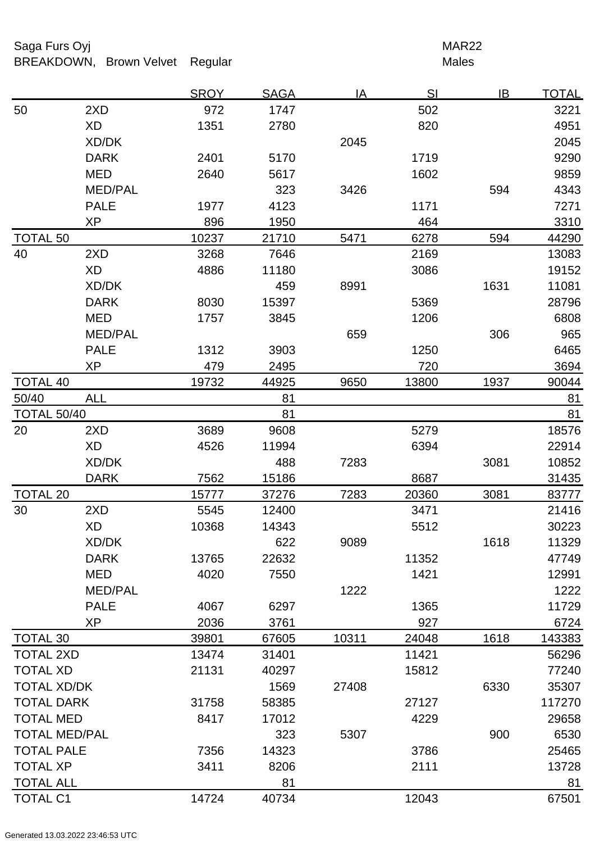# Saga Furs Oyj **MAR22** BREAKDOWN, Brown Velvet Regular Males

|                      |                | <b>SROY</b> | <b>SAGA</b> | <u>IA</u> | SI    | IB   | <u>TOTAL</u> |
|----------------------|----------------|-------------|-------------|-----------|-------|------|--------------|
| 50                   | 2XD            | 972         | 1747        |           | 502   |      | 3221         |
|                      | <b>XD</b>      | 1351        | 2780        |           | 820   |      | 4951         |
|                      | XD/DK          |             |             | 2045      |       |      | 2045         |
|                      | <b>DARK</b>    | 2401        | 5170        |           | 1719  |      | 9290         |
|                      | <b>MED</b>     | 2640        | 5617        |           | 1602  |      | 9859         |
|                      | <b>MED/PAL</b> |             | 323         | 3426      |       | 594  | 4343         |
|                      | <b>PALE</b>    | 1977        | 4123        |           | 1171  |      | 7271         |
|                      | XP             | 896         | 1950        |           | 464   |      | 3310         |
| <b>TOTAL 50</b>      |                | 10237       | 21710       | 5471      | 6278  | 594  | 44290        |
| 40                   | 2XD            | 3268        | 7646        |           | 2169  |      | 13083        |
|                      | <b>XD</b>      | 4886        | 11180       |           | 3086  |      | 19152        |
|                      | XD/DK          |             | 459         | 8991      |       | 1631 | 11081        |
|                      | <b>DARK</b>    | 8030        | 15397       |           | 5369  |      | 28796        |
|                      | <b>MED</b>     | 1757        | 3845        |           | 1206  |      | 6808         |
|                      | <b>MED/PAL</b> |             |             | 659       |       | 306  | 965          |
|                      | <b>PALE</b>    | 1312        | 3903        |           | 1250  |      | 6465         |
|                      | <b>XP</b>      | 479         | 2495        |           | 720   |      | 3694         |
| <b>TOTAL 40</b>      |                | 19732       | 44925       | 9650      | 13800 | 1937 | 90044        |
| 50/40                | <b>ALL</b>     |             | 81          |           |       |      | 81           |
| <b>TOTAL 50/40</b>   |                |             | 81          |           |       |      | 81           |
| 20                   | 2XD            | 3689        | 9608        |           | 5279  |      | 18576        |
|                      | <b>XD</b>      | 4526        | 11994       |           | 6394  |      | 22914        |
|                      | XD/DK          |             | 488         | 7283      |       | 3081 | 10852        |
|                      | <b>DARK</b>    | 7562        | 15186       |           | 8687  |      | 31435        |
| <b>TOTAL 20</b>      |                | 15777       | 37276       | 7283      | 20360 | 3081 | 83777        |
| 30                   | 2XD            | 5545        | 12400       |           | 3471  |      | 21416        |
|                      | <b>XD</b>      | 10368       | 14343       |           | 5512  |      | 30223        |
|                      | XD/DK          |             | 622         | 9089      |       | 1618 | 11329        |
|                      | <b>DARK</b>    | 13765       | 22632       |           | 11352 |      | 47749        |
|                      | <b>MED</b>     | 4020        | 7550        |           | 1421  |      | 12991        |
|                      | <b>MED/PAL</b> |             |             | 1222      |       |      | 1222         |
|                      | <b>PALE</b>    | 4067        | 6297        |           | 1365  |      | 11729        |
|                      | <b>XP</b>      | 2036        | 3761        |           | 927   |      | 6724         |
| <b>TOTAL 30</b>      |                | 39801       | 67605       | 10311     | 24048 | 1618 | 143383       |
| <b>TOTAL 2XD</b>     |                | 13474       | 31401       |           | 11421 |      | 56296        |
| <b>TOTAL XD</b>      |                | 21131       | 40297       |           | 15812 |      | 77240        |
| <b>TOTAL XD/DK</b>   |                |             | 1569        | 27408     |       | 6330 | 35307        |
| <b>TOTAL DARK</b>    |                | 31758       | 58385       |           | 27127 |      | 117270       |
| <b>TOTAL MED</b>     |                | 8417        | 17012       |           | 4229  |      | 29658        |
| <b>TOTAL MED/PAL</b> |                |             | 323         | 5307      |       | 900  | 6530         |
| <b>TOTAL PALE</b>    |                | 7356        | 14323       |           | 3786  |      | 25465        |
| <b>TOTAL XP</b>      |                | 3411        | 8206        |           | 2111  |      | 13728        |
| <b>TOTAL ALL</b>     |                |             | 81          |           |       |      | 81           |
| <b>TOTAL C1</b>      |                | 14724       | 40734       |           | 12043 |      | 67501        |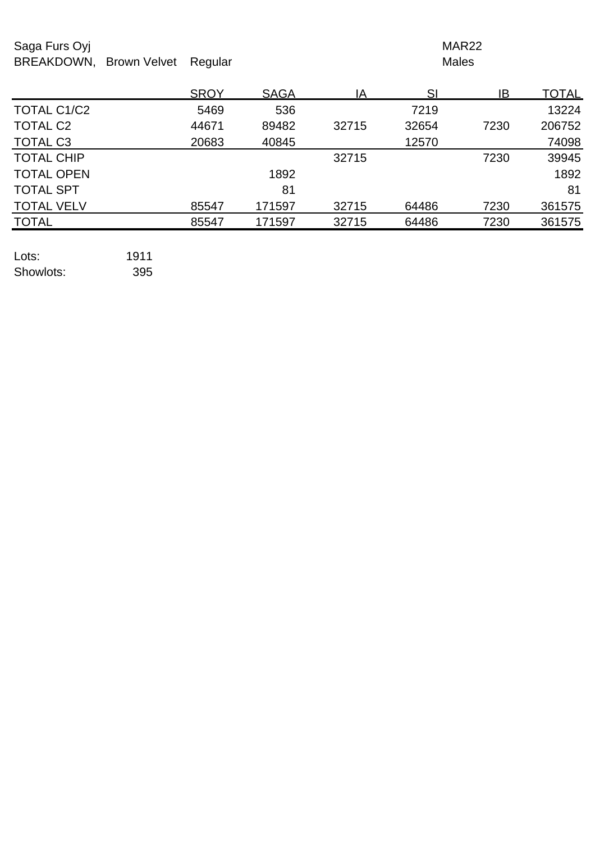# Saga Furs Oyj **MAR22** BREAKDOWN, Brown Velvet Regular Males

|                   | <b>SROY</b> | <b>SAGA</b> | ΙA    | SI    | IB   | <u>TOTAL</u> |
|-------------------|-------------|-------------|-------|-------|------|--------------|
| TOTAL C1/C2       | 5469        | 536         |       | 7219  |      | 13224        |
| <b>TOTAL C2</b>   | 44671       | 89482       | 32715 | 32654 | 7230 | 206752       |
| <b>TOTAL C3</b>   | 20683       | 40845       |       | 12570 |      | 74098        |
| <b>TOTAL CHIP</b> |             |             | 32715 |       | 7230 | 39945        |
| <b>TOTAL OPEN</b> |             | 1892        |       |       |      | 1892         |
| <b>TOTAL SPT</b>  |             | 81          |       |       |      | 81           |
| <b>TOTAL VELV</b> | 85547       | 171597      | 32715 | 64486 | 7230 | 361575       |
| <b>TOTAL</b>      | 85547       | 171597      | 32715 | 64486 | 7230 | 361575       |
|                   |             |             |       |       |      |              |

Lots: 1911 Showlots: 395